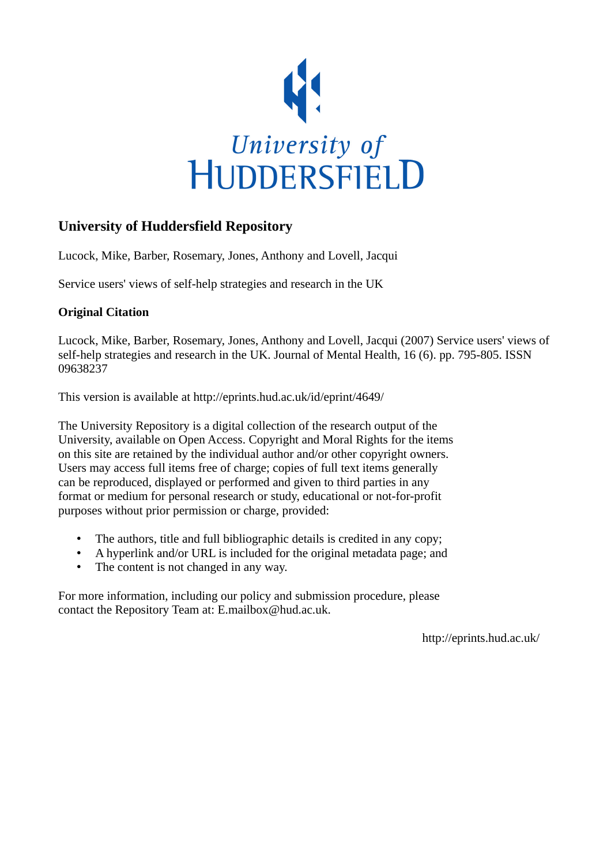

## **University of Huddersfield Repository**

Lucock, Mike, Barber, Rosemary, Jones, Anthony and Lovell, Jacqui

Service users' views of self-help strategies and research in the UK

## **Original Citation**

Lucock, Mike, Barber, Rosemary, Jones, Anthony and Lovell, Jacqui (2007) Service users' views of self-help strategies and research in the UK. Journal of Mental Health, 16 (6). pp. 795-805. ISSN 09638237

This version is available at http://eprints.hud.ac.uk/id/eprint/4649/

The University Repository is a digital collection of the research output of the University, available on Open Access. Copyright and Moral Rights for the items on this site are retained by the individual author and/or other copyright owners. Users may access full items free of charge; copies of full text items generally can be reproduced, displayed or performed and given to third parties in any format or medium for personal research or study, educational or not-for-profit purposes without prior permission or charge, provided:

- The authors, title and full bibliographic details is credited in any copy;
- A hyperlink and/or URL is included for the original metadata page; and
- The content is not changed in any way.

For more information, including our policy and submission procedure, please contact the Repository Team at: E.mailbox@hud.ac.uk.

http://eprints.hud.ac.uk/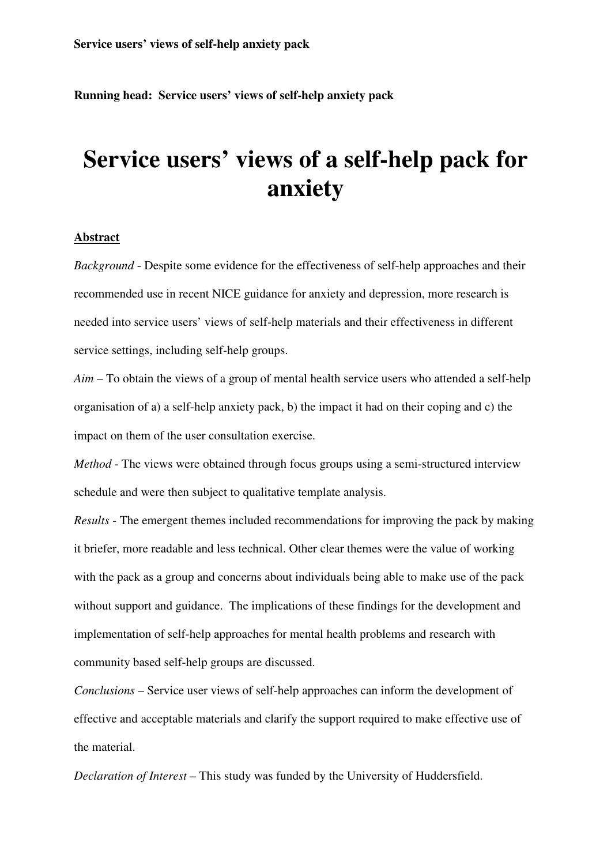**Running head: Service users' views of self-help anxiety pack** 

# **Service users' views of a self-help pack for anxiety**

#### **Abstract**

*Background* - Despite some evidence for the effectiveness of self-help approaches and their recommended use in recent NICE guidance for anxiety and depression, more research is needed into service users' views of self-help materials and their effectiveness in different service settings, including self-help groups.

*Aim* – To obtain the views of a group of mental health service users who attended a self-help organisation of a) a self-help anxiety pack, b) the impact it had on their coping and c) the impact on them of the user consultation exercise.

*Method* - The views were obtained through focus groups using a semi-structured interview schedule and were then subject to qualitative template analysis.

*Results* - The emergent themes included recommendations for improving the pack by making it briefer, more readable and less technical. Other clear themes were the value of working with the pack as a group and concerns about individuals being able to make use of the pack without support and guidance. The implications of these findings for the development and implementation of self-help approaches for mental health problems and research with community based self-help groups are discussed.

*Conclusions* – Service user views of self-help approaches can inform the development of effective and acceptable materials and clarify the support required to make effective use of the material.

*Declaration of Interest* – This study was funded by the University of Huddersfield.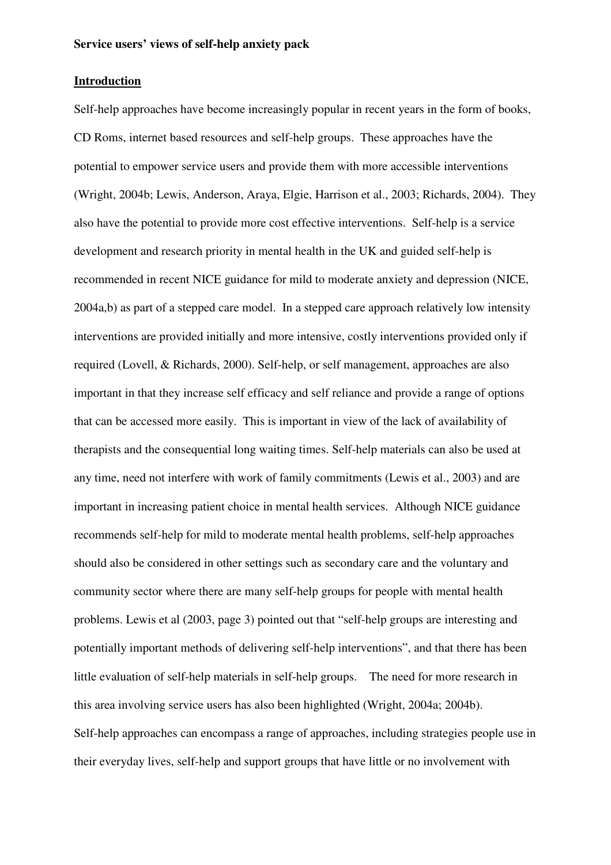## **Introduction**

Self-help approaches have become increasingly popular in recent years in the form of books, CD Roms, internet based resources and self-help groups. These approaches have the potential to empower service users and provide them with more accessible interventions (Wright, 2004b; Lewis, Anderson, Araya, Elgie, Harrison et al., 2003; Richards, 2004). They also have the potential to provide more cost effective interventions. Self-help is a service development and research priority in mental health in the UK and guided self-help is recommended in recent NICE guidance for mild to moderate anxiety and depression (NICE, 2004a,b) as part of a stepped care model. In a stepped care approach relatively low intensity interventions are provided initially and more intensive, costly interventions provided only if required (Lovell, & Richards, 2000). Self-help, or self management, approaches are also important in that they increase self efficacy and self reliance and provide a range of options that can be accessed more easily. This is important in view of the lack of availability of therapists and the consequential long waiting times. Self-help materials can also be used at any time, need not interfere with work of family commitments (Lewis et al., 2003) and are important in increasing patient choice in mental health services. Although NICE guidance recommends self-help for mild to moderate mental health problems, self-help approaches should also be considered in other settings such as secondary care and the voluntary and community sector where there are many self-help groups for people with mental health problems. Lewis et al (2003, page 3) pointed out that "self-help groups are interesting and potentially important methods of delivering self-help interventions", and that there has been little evaluation of self-help materials in self-help groups. The need for more research in this area involving service users has also been highlighted (Wright, 2004a; 2004b). Self-help approaches can encompass a range of approaches, including strategies people use in their everyday lives, self-help and support groups that have little or no involvement with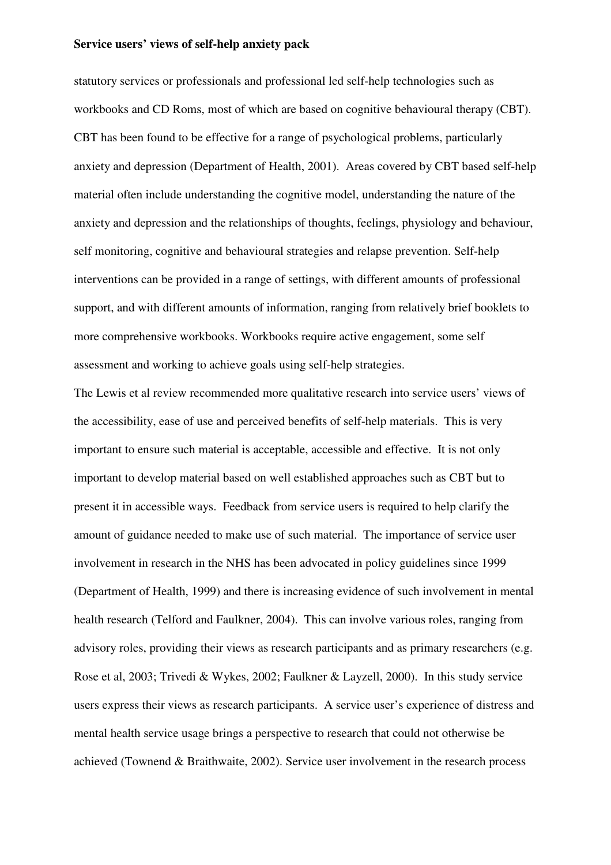statutory services or professionals and professional led self-help technologies such as workbooks and CD Roms, most of which are based on cognitive behavioural therapy (CBT). CBT has been found to be effective for a range of psychological problems, particularly anxiety and depression (Department of Health, 2001). Areas covered by CBT based self-help material often include understanding the cognitive model, understanding the nature of the anxiety and depression and the relationships of thoughts, feelings, physiology and behaviour, self monitoring, cognitive and behavioural strategies and relapse prevention. Self-help interventions can be provided in a range of settings, with different amounts of professional support, and with different amounts of information, ranging from relatively brief booklets to more comprehensive workbooks. Workbooks require active engagement, some self assessment and working to achieve goals using self-help strategies.

The Lewis et al review recommended more qualitative research into service users' views of the accessibility, ease of use and perceived benefits of self-help materials. This is very important to ensure such material is acceptable, accessible and effective. It is not only important to develop material based on well established approaches such as CBT but to present it in accessible ways. Feedback from service users is required to help clarify the amount of guidance needed to make use of such material. The importance of service user involvement in research in the NHS has been advocated in policy guidelines since 1999 (Department of Health, 1999) and there is increasing evidence of such involvement in mental health research (Telford and Faulkner, 2004). This can involve various roles, ranging from advisory roles, providing their views as research participants and as primary researchers (e.g. Rose et al, 2003; Trivedi & Wykes, 2002; Faulkner & Layzell, 2000). In this study service users express their views as research participants. A service user's experience of distress and mental health service usage brings a perspective to research that could not otherwise be achieved (Townend & Braithwaite, 2002). Service user involvement in the research process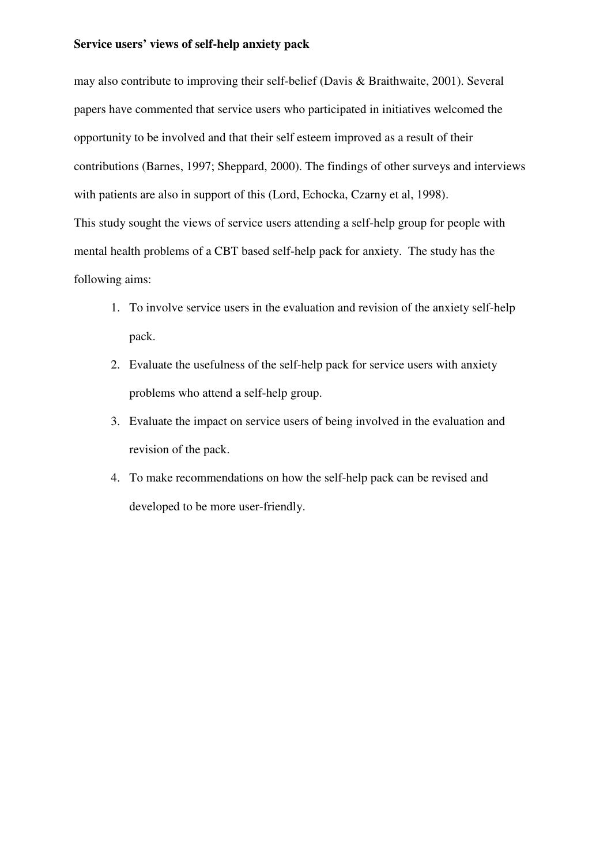may also contribute to improving their self-belief (Davis & Braithwaite, 2001). Several papers have commented that service users who participated in initiatives welcomed the opportunity to be involved and that their self esteem improved as a result of their contributions (Barnes, 1997; Sheppard, 2000). The findings of other surveys and interviews with patients are also in support of this (Lord, Echocka, Czarny et al, 1998). This study sought the views of service users attending a self-help group for people with mental health problems of a CBT based self-help pack for anxiety. The study has the following aims:

- 1. To involve service users in the evaluation and revision of the anxiety self-help pack.
- 2. Evaluate the usefulness of the self-help pack for service users with anxiety problems who attend a self-help group.
- 3. Evaluate the impact on service users of being involved in the evaluation and revision of the pack.
- 4. To make recommendations on how the self-help pack can be revised and developed to be more user-friendly.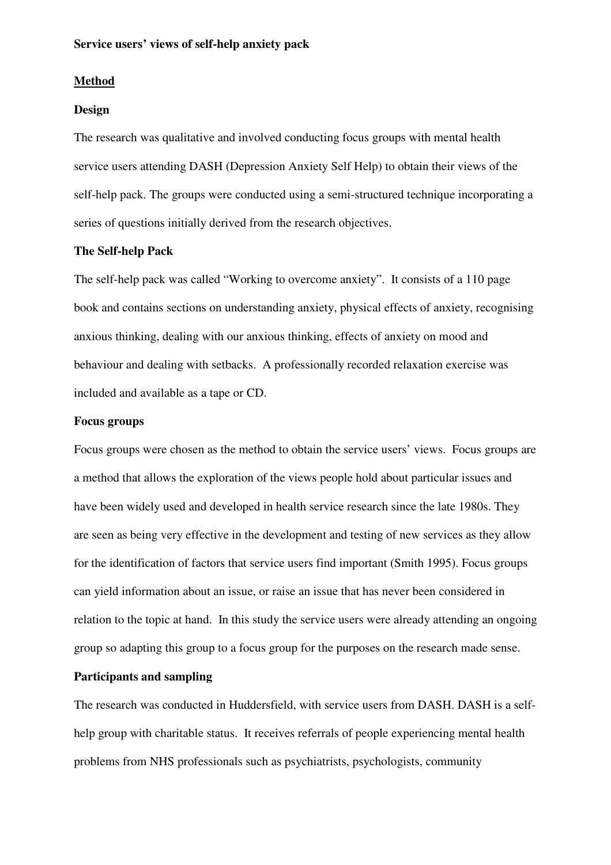#### **Method**

#### **Design**

The research was qualitative and involved conducting focus groups with mental health service users attending DASH (Depression Anxiety Self Help) to obtain their views of the self-help pack. The groups were conducted using a semi-structured technique incorporating a series of questions initially derived from the research objectives.

## **The Self-help Pack**

The self-help pack was called "Working to overcome anxiety". It consists of a 110 page book and contains sections on understanding anxiety, physical effects of anxiety, recognising anxious thinking, dealing with our anxious thinking, effects of anxiety on mood and behaviour and dealing with setbacks. A professionally recorded relaxation exercise was included and available as a tape or CD.

## **Focus groups**

Focus groups were chosen as the method to obtain the service users' views. Focus groups are a method that allows the exploration of the views people hold about particular issues and have been widely used and developed in health service research since the late 1980s. They are seen as being very effective in the development and testing of new services as they allow for the identification of factors that service users find important (Smith 1995). Focus groups can yield information about an issue, or raise an issue that has never been considered in relation to the topic at hand. In this study the service users were already attending an ongoing group so adapting this group to a focus group for the purposes on the research made sense.

## **Participants and sampling**

The research was conducted in Huddersfield, with service users from DASH. DASH is a selfhelp group with charitable status. It receives referrals of people experiencing mental health problems from NHS professionals such as psychiatrists, psychologists, community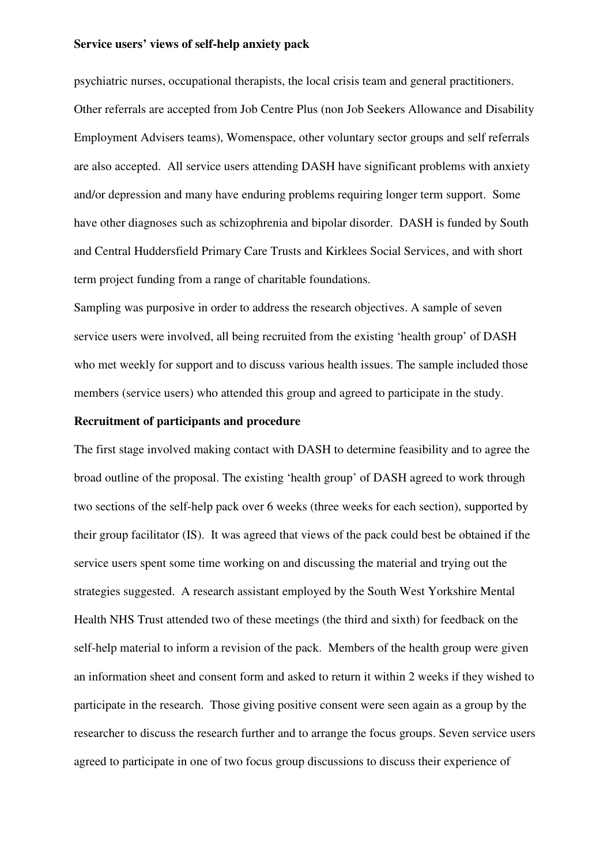psychiatric nurses, occupational therapists, the local crisis team and general practitioners. Other referrals are accepted from Job Centre Plus (non Job Seekers Allowance and Disability Employment Advisers teams), Womenspace, other voluntary sector groups and self referrals are also accepted. All service users attending DASH have significant problems with anxiety and/or depression and many have enduring problems requiring longer term support. Some have other diagnoses such as schizophrenia and bipolar disorder. DASH is funded by South and Central Huddersfield Primary Care Trusts and Kirklees Social Services, and with short term project funding from a range of charitable foundations.

Sampling was purposive in order to address the research objectives. A sample of seven service users were involved, all being recruited from the existing 'health group' of DASH who met weekly for support and to discuss various health issues. The sample included those members (service users) who attended this group and agreed to participate in the study.

## **Recruitment of participants and procedure**

The first stage involved making contact with DASH to determine feasibility and to agree the broad outline of the proposal. The existing 'health group' of DASH agreed to work through two sections of the self-help pack over 6 weeks (three weeks for each section), supported by their group facilitator (IS). It was agreed that views of the pack could best be obtained if the service users spent some time working on and discussing the material and trying out the strategies suggested. A research assistant employed by the South West Yorkshire Mental Health NHS Trust attended two of these meetings (the third and sixth) for feedback on the self-help material to inform a revision of the pack. Members of the health group were given an information sheet and consent form and asked to return it within 2 weeks if they wished to participate in the research. Those giving positive consent were seen again as a group by the researcher to discuss the research further and to arrange the focus groups. Seven service users agreed to participate in one of two focus group discussions to discuss their experience of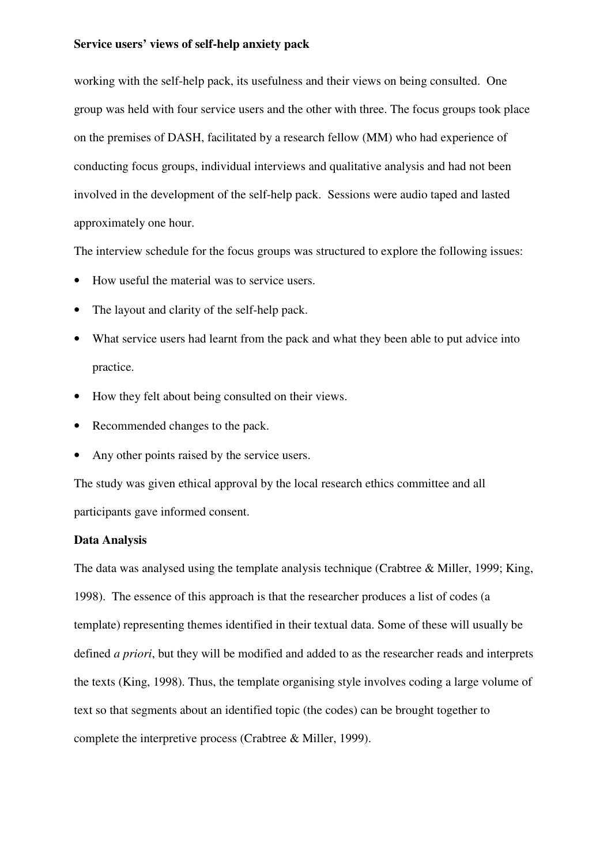working with the self-help pack, its usefulness and their views on being consulted. One group was held with four service users and the other with three. The focus groups took place on the premises of DASH, facilitated by a research fellow (MM) who had experience of conducting focus groups, individual interviews and qualitative analysis and had not been involved in the development of the self-help pack. Sessions were audio taped and lasted approximately one hour.

The interview schedule for the focus groups was structured to explore the following issues:

- How useful the material was to service users.
- The layout and clarity of the self-help pack.
- What service users had learnt from the pack and what they been able to put advice into practice.
- How they felt about being consulted on their views.
- Recommended changes to the pack.
- Any other points raised by the service users.

The study was given ethical approval by the local research ethics committee and all participants gave informed consent.

## **Data Analysis**

The data was analysed using the template analysis technique (Crabtree & Miller, 1999; King, 1998). The essence of this approach is that the researcher produces a list of codes (a template) representing themes identified in their textual data. Some of these will usually be defined *a priori*, but they will be modified and added to as the researcher reads and interprets the texts (King, 1998). Thus, the template organising style involves coding a large volume of text so that segments about an identified topic (the codes) can be brought together to complete the interpretive process (Crabtree & Miller, 1999).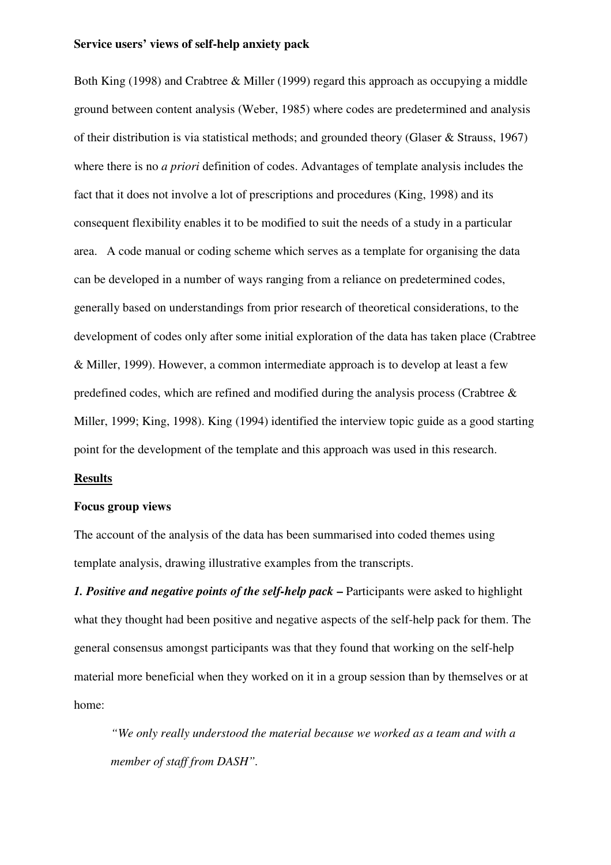Both King (1998) and Crabtree & Miller (1999) regard this approach as occupying a middle ground between content analysis (Weber, 1985) where codes are predetermined and analysis of their distribution is via statistical methods; and grounded theory (Glaser & Strauss, 1967) where there is no *a priori* definition of codes. Advantages of template analysis includes the fact that it does not involve a lot of prescriptions and procedures (King, 1998) and its consequent flexibility enables it to be modified to suit the needs of a study in a particular area. A code manual or coding scheme which serves as a template for organising the data can be developed in a number of ways ranging from a reliance on predetermined codes, generally based on understandings from prior research of theoretical considerations, to the development of codes only after some initial exploration of the data has taken place (Crabtree & Miller, 1999). However, a common intermediate approach is to develop at least a few predefined codes, which are refined and modified during the analysis process (Crabtree & Miller, 1999; King, 1998). King (1994) identified the interview topic guide as a good starting point for the development of the template and this approach was used in this research.

#### **Results**

## **Focus group views**

The account of the analysis of the data has been summarised into coded themes using template analysis, drawing illustrative examples from the transcripts.

*1. Positive and negative points of the self-help pack* **–** Participants were asked to highlight what they thought had been positive and negative aspects of the self-help pack for them. The general consensus amongst participants was that they found that working on the self-help material more beneficial when they worked on it in a group session than by themselves or at home:

*"We only really understood the material because we worked as a team and with a member of staff from DASH".*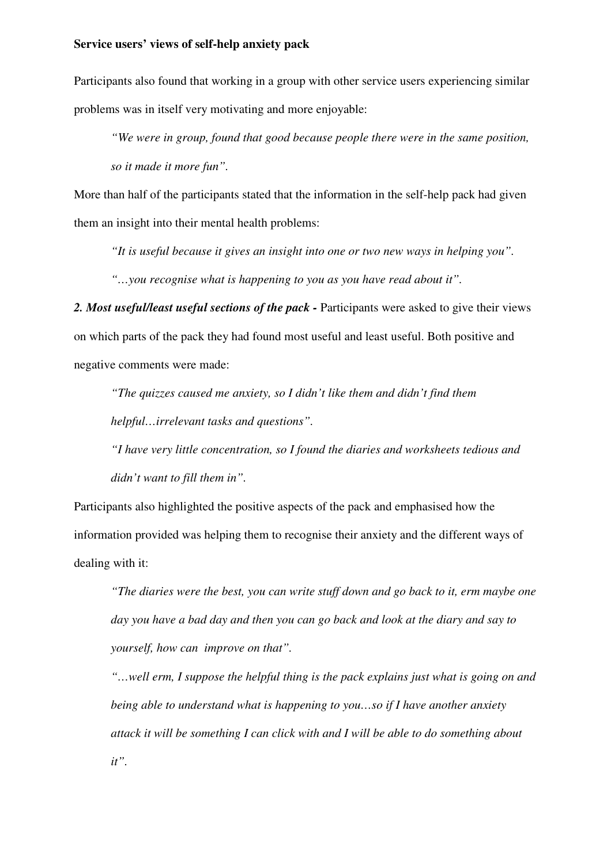Participants also found that working in a group with other service users experiencing similar problems was in itself very motivating and more enjoyable:

*"We were in group, found that good because people there were in the same position, so it made it more fun".* 

More than half of the participants stated that the information in the self-help pack had given them an insight into their mental health problems:

*"It is useful because it gives an insight into one or two new ways in helping you".* 

*"…you recognise what is happening to you as you have read about it".* 

2. Most useful/least useful sections of the pack - Participants were asked to give their views on which parts of the pack they had found most useful and least useful. Both positive and negative comments were made:

*"The quizzes caused me anxiety, so I didn't like them and didn't find them helpful…irrelevant tasks and questions".* 

*"I have very little concentration, so I found the diaries and worksheets tedious and didn't want to fill them in".* 

Participants also highlighted the positive aspects of the pack and emphasised how the information provided was helping them to recognise their anxiety and the different ways of dealing with it:

*"The diaries were the best, you can write stuff down and go back to it, erm maybe one day you have a bad day and then you can go back and look at the diary and say to yourself, how can improve on that".* 

*"…well erm, I suppose the helpful thing is the pack explains just what is going on and being able to understand what is happening to you…so if I have another anxiety attack it will be something I can click with and I will be able to do something about it".*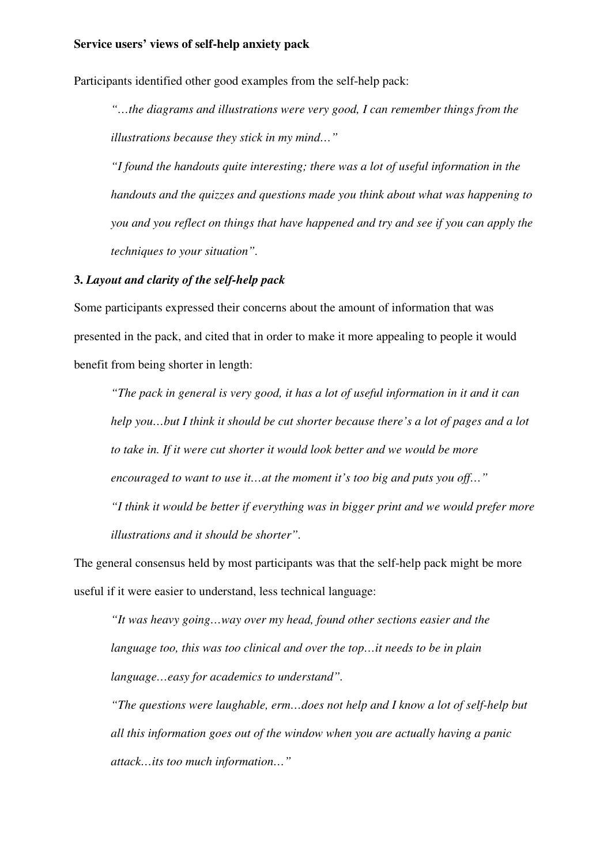Participants identified other good examples from the self-help pack:

*"…the diagrams and illustrations were very good, I can remember things from the illustrations because they stick in my mind…"* 

*"I found the handouts quite interesting; there was a lot of useful information in the handouts and the quizzes and questions made you think about what was happening to you and you reflect on things that have happened and try and see if you can apply the techniques to your situation".* 

#### **3.** *Layout and clarity of the self-help pack*

Some participants expressed their concerns about the amount of information that was presented in the pack, and cited that in order to make it more appealing to people it would benefit from being shorter in length:

*"The pack in general is very good, it has a lot of useful information in it and it can help you…but I think it should be cut shorter because there's a lot of pages and a lot to take in. If it were cut shorter it would look better and we would be more encouraged to want to use it…at the moment it's too big and puts you off…" "I think it would be better if everything was in bigger print and we would prefer more illustrations and it should be shorter".* 

The general consensus held by most participants was that the self-help pack might be more useful if it were easier to understand, less technical language:

*"It was heavy going…way over my head, found other sections easier and the language too, this was too clinical and over the top…it needs to be in plain language…easy for academics to understand".* 

*"The questions were laughable, erm…does not help and I know a lot of self-help but all this information goes out of the window when you are actually having a panic attack…its too much information…"*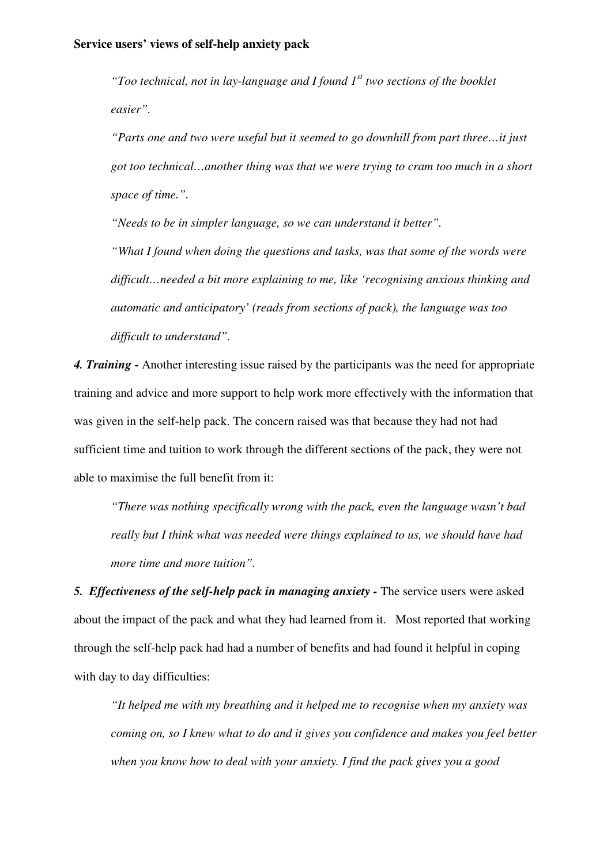*"Too technical, not in lay-language and I found 1st two sections of the booklet easier".* 

*"Parts one and two were useful but it seemed to go downhill from part three…it just got too technical…another thing was that we were trying to cram too much in a short space of time.".* 

*"Needs to be in simpler language, so we can understand it better".* 

*"What I found when doing the questions and tasks, was that some of the words were difficult…needed a bit more explaining to me, like 'recognising anxious thinking and automatic and anticipatory' (reads from sections of pack), the language was too difficult to understand".* 

*4. Training* **-** Another interesting issue raised by the participants was the need for appropriate training and advice and more support to help work more effectively with the information that was given in the self-help pack. The concern raised was that because they had not had sufficient time and tuition to work through the different sections of the pack, they were not able to maximise the full benefit from it:

*"There was nothing specifically wrong with the pack, even the language wasn't bad really but I think what was needed were things explained to us, we should have had more time and more tuition".* 

*5. Effectiveness of the self-help pack in managing anxiety -* The service users were asked about the impact of the pack and what they had learned from it. Most reported that working through the self-help pack had had a number of benefits and had found it helpful in coping with day to day difficulties:

*"It helped me with my breathing and it helped me to recognise when my anxiety was coming on, so I knew what to do and it gives you confidence and makes you feel better when you know how to deal with your anxiety. I find the pack gives you a good*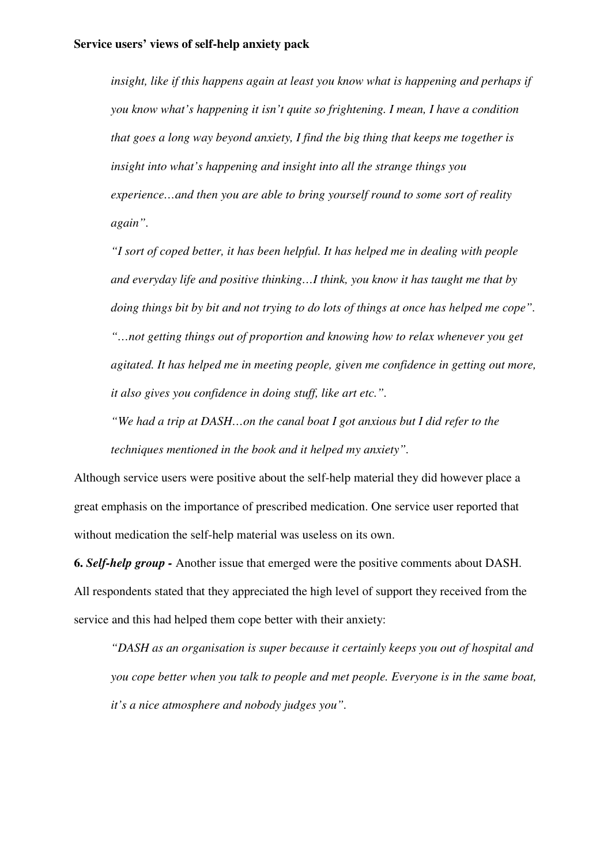*insight, like if this happens again at least you know what is happening and perhaps if you know what's happening it isn't quite so frightening. I mean, I have a condition that goes a long way beyond anxiety, I find the big thing that keeps me together is insight into what's happening and insight into all the strange things you experience…and then you are able to bring yourself round to some sort of reality again".* 

*"I sort of coped better, it has been helpful. It has helped me in dealing with people and everyday life and positive thinking…I think, you know it has taught me that by doing things bit by bit and not trying to do lots of things at once has helped me cope". "…not getting things out of proportion and knowing how to relax whenever you get agitated. It has helped me in meeting people, given me confidence in getting out more, it also gives you confidence in doing stuff, like art etc.".* 

*"We had a trip at DASH…on the canal boat I got anxious but I did refer to the techniques mentioned in the book and it helped my anxiety".* 

Although service users were positive about the self-help material they did however place a great emphasis on the importance of prescribed medication. One service user reported that without medication the self-help material was useless on its own.

**6.** *Self-help group -* Another issue that emerged were the positive comments about DASH. All respondents stated that they appreciated the high level of support they received from the service and this had helped them cope better with their anxiety:

*"DASH as an organisation is super because it certainly keeps you out of hospital and you cope better when you talk to people and met people. Everyone is in the same boat, it's a nice atmosphere and nobody judges you".*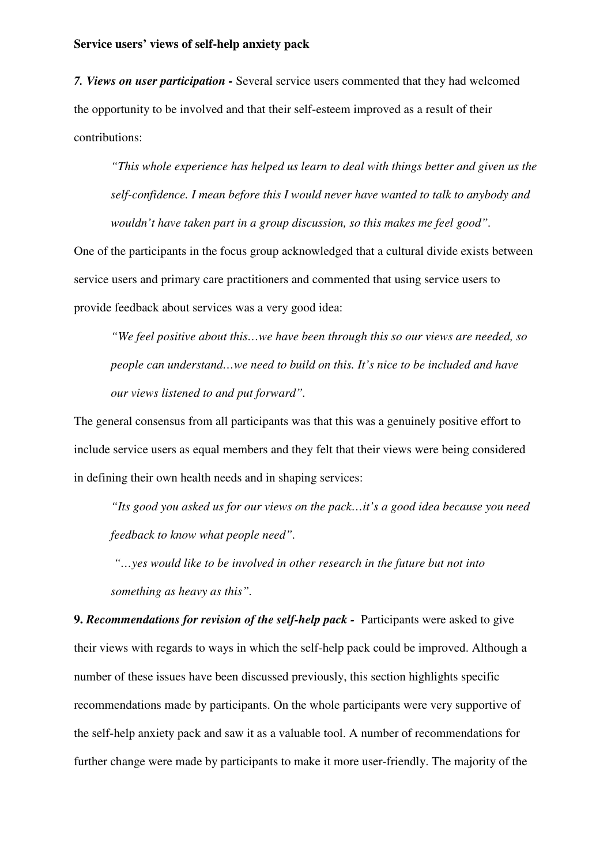*7. Views on user participation -* Several service users commented that they had welcomed the opportunity to be involved and that their self-esteem improved as a result of their contributions:

*"This whole experience has helped us learn to deal with things better and given us the self-confidence. I mean before this I would never have wanted to talk to anybody and wouldn't have taken part in a group discussion, so this makes me feel good".* 

One of the participants in the focus group acknowledged that a cultural divide exists between service users and primary care practitioners and commented that using service users to provide feedback about services was a very good idea:

*"We feel positive about this…we have been through this so our views are needed, so people can understand…we need to build on this. It's nice to be included and have our views listened to and put forward".* 

The general consensus from all participants was that this was a genuinely positive effort to include service users as equal members and they felt that their views were being considered in defining their own health needs and in shaping services:

*"Its good you asked us for our views on the pack…it's a good idea because you need feedback to know what people need".* 

*"…yes would like to be involved in other research in the future but not into something as heavy as this".* 

**9.** *Recommendations for revision of the self-help pack -* Participants were asked to give their views with regards to ways in which the self-help pack could be improved. Although a number of these issues have been discussed previously, this section highlights specific recommendations made by participants. On the whole participants were very supportive of the self-help anxiety pack and saw it as a valuable tool. A number of recommendations for further change were made by participants to make it more user-friendly. The majority of the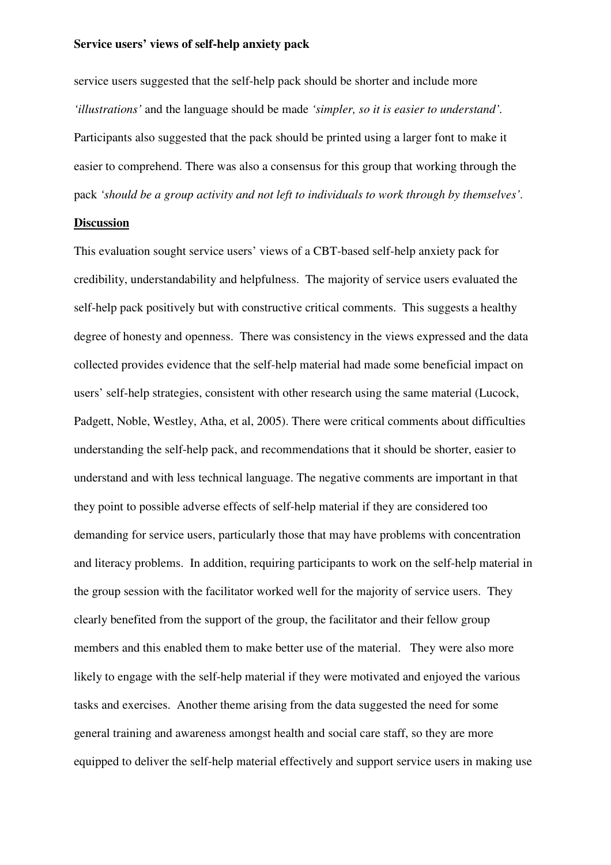service users suggested that the self-help pack should be shorter and include more *'illustrations'* and the language should be made *'simpler, so it is easier to understand'.* Participants also suggested that the pack should be printed using a larger font to make it easier to comprehend. There was also a consensus for this group that working through the pack *'should be a group activity and not left to individuals to work through by themselves'.* 

## **Discussion**

This evaluation sought service users' views of a CBT-based self-help anxiety pack for credibility, understandability and helpfulness. The majority of service users evaluated the self-help pack positively but with constructive critical comments. This suggests a healthy degree of honesty and openness. There was consistency in the views expressed and the data collected provides evidence that the self-help material had made some beneficial impact on users' self-help strategies, consistent with other research using the same material (Lucock, Padgett, Noble, Westley, Atha, et al, 2005). There were critical comments about difficulties understanding the self-help pack, and recommendations that it should be shorter, easier to understand and with less technical language. The negative comments are important in that they point to possible adverse effects of self-help material if they are considered too demanding for service users, particularly those that may have problems with concentration and literacy problems. In addition, requiring participants to work on the self-help material in the group session with the facilitator worked well for the majority of service users. They clearly benefited from the support of the group, the facilitator and their fellow group members and this enabled them to make better use of the material. They were also more likely to engage with the self-help material if they were motivated and enjoyed the various tasks and exercises. Another theme arising from the data suggested the need for some general training and awareness amongst health and social care staff, so they are more equipped to deliver the self-help material effectively and support service users in making use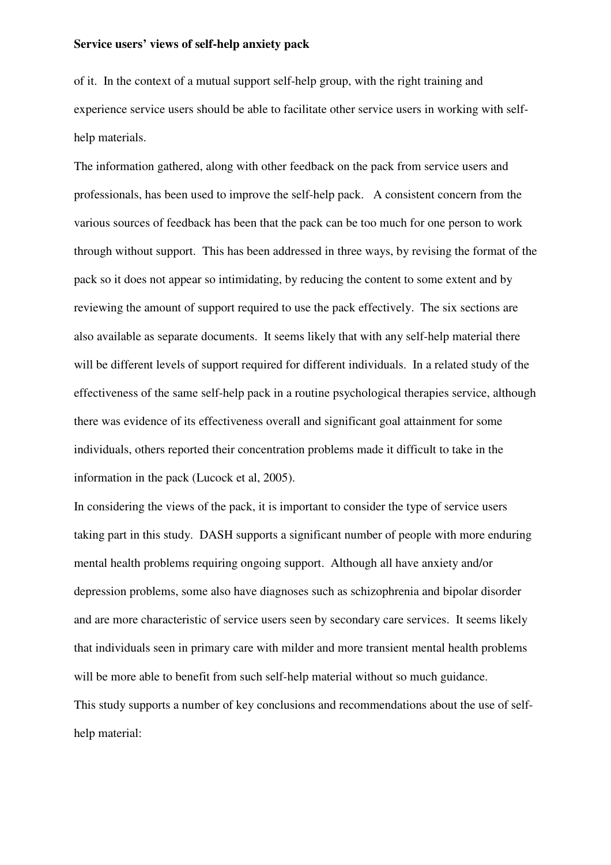of it. In the context of a mutual support self-help group, with the right training and experience service users should be able to facilitate other service users in working with selfhelp materials.

The information gathered, along with other feedback on the pack from service users and professionals, has been used to improve the self-help pack. A consistent concern from the various sources of feedback has been that the pack can be too much for one person to work through without support. This has been addressed in three ways, by revising the format of the pack so it does not appear so intimidating, by reducing the content to some extent and by reviewing the amount of support required to use the pack effectively. The six sections are also available as separate documents. It seems likely that with any self-help material there will be different levels of support required for different individuals. In a related study of the effectiveness of the same self-help pack in a routine psychological therapies service, although there was evidence of its effectiveness overall and significant goal attainment for some individuals, others reported their concentration problems made it difficult to take in the information in the pack (Lucock et al, 2005).

In considering the views of the pack, it is important to consider the type of service users taking part in this study. DASH supports a significant number of people with more enduring mental health problems requiring ongoing support. Although all have anxiety and/or depression problems, some also have diagnoses such as schizophrenia and bipolar disorder and are more characteristic of service users seen by secondary care services. It seems likely that individuals seen in primary care with milder and more transient mental health problems will be more able to benefit from such self-help material without so much guidance. This study supports a number of key conclusions and recommendations about the use of selfhelp material: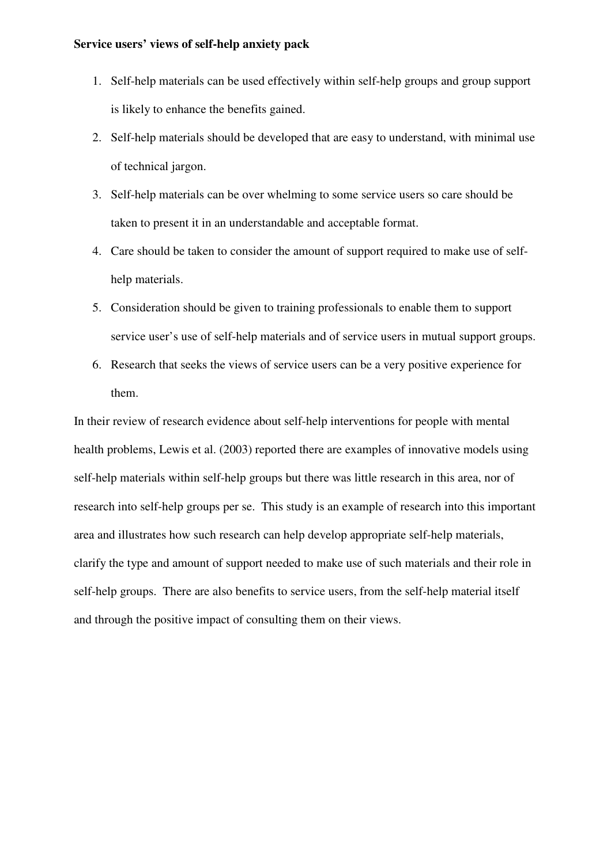- 1. Self-help materials can be used effectively within self-help groups and group support is likely to enhance the benefits gained.
- 2. Self-help materials should be developed that are easy to understand, with minimal use of technical jargon.
- 3. Self-help materials can be over whelming to some service users so care should be taken to present it in an understandable and acceptable format.
- 4. Care should be taken to consider the amount of support required to make use of selfhelp materials.
- 5. Consideration should be given to training professionals to enable them to support service user's use of self-help materials and of service users in mutual support groups.
- 6. Research that seeks the views of service users can be a very positive experience for them.

In their review of research evidence about self-help interventions for people with mental health problems, Lewis et al. (2003) reported there are examples of innovative models using self-help materials within self-help groups but there was little research in this area, nor of research into self-help groups per se. This study is an example of research into this important area and illustrates how such research can help develop appropriate self-help materials, clarify the type and amount of support needed to make use of such materials and their role in self-help groups. There are also benefits to service users, from the self-help material itself and through the positive impact of consulting them on their views.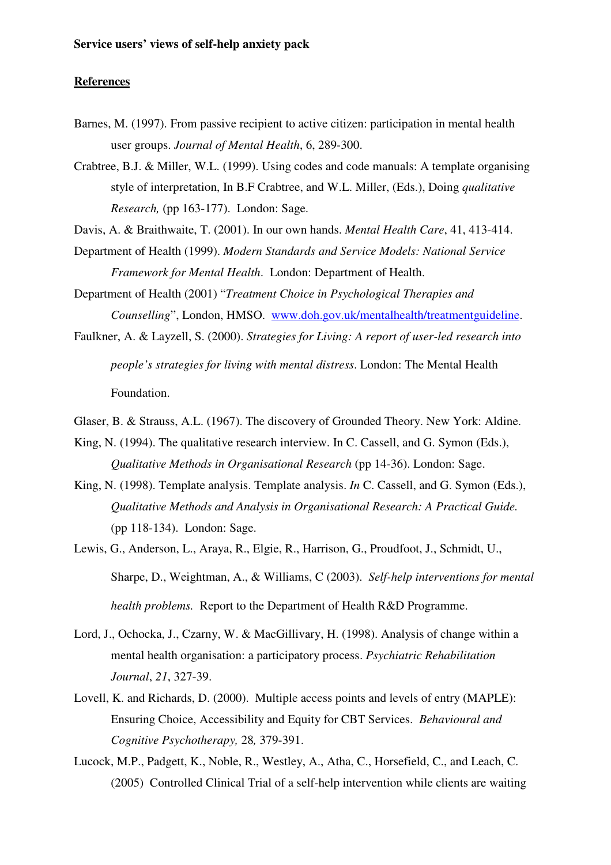## **References**

- Barnes, M. (1997). From passive recipient to active citizen: participation in mental health user groups. *Journal of Mental Health*, 6, 289-300.
- Crabtree, B.J. & Miller, W.L. (1999). Using codes and code manuals: A template organising style of interpretation, In B.F Crabtree, and W.L. Miller, (Eds.), Doing *qualitative Research,* (pp 163-177). London: Sage.
- Davis, A. & Braithwaite, T. (2001). In our own hands. *Mental Health Care*, 41, 413-414.
- Department of Health (1999). *Modern Standards and Service Models: National Service Framework for Mental Health*. London: Department of Health.
- Department of Health (2001) "*Treatment Choice in Psychological Therapies and Counselling*", London, HMSO. www.doh.gov.uk/mentalhealth/treatmentguideline.
- Faulkner, A. & Layzell, S. (2000). *Strategies for Living: A report of user-led research into people's strategies for living with mental distress*. London: The Mental Health Foundation.
- Glaser, B. & Strauss, A.L. (1967). The discovery of Grounded Theory. New York: Aldine.
- King, N. (1994). The qualitative research interview. In C. Cassell, and G. Symon (Eds.), *Qualitative Methods in Organisational Research* (pp 14-36). London: Sage.
- King, N. (1998). Template analysis. Template analysis. *In* C. Cassell, and G. Symon (Eds.), *Qualitative Methods and Analysis in Organisational Research: A Practical Guide.* (pp 118-134). London: Sage.
- Lewis, G., Anderson, L., Araya, R., Elgie, R., Harrison, G., Proudfoot, J., Schmidt, U., Sharpe, D., Weightman, A., & Williams, C (2003). *Self-help interventions for mental health problems.* Report to the Department of Health R&D Programme.
- Lord, J., Ochocka, J., Czarny, W. & MacGillivary, H. (1998). Analysis of change within a mental health organisation: a participatory process. *Psychiatric Rehabilitation Journal*, *21*, 327-39.
- Lovell, K. and Richards, D. (2000). Multiple access points and levels of entry (MAPLE): Ensuring Choice, Accessibility and Equity for CBT Services. *Behavioural and Cognitive Psychotherapy,* 28*,* 379-391.
- Lucock, M.P., Padgett, K., Noble, R., Westley, A., Atha, C., Horsefield, C., and Leach, C. (2005) Controlled Clinical Trial of a self-help intervention while clients are waiting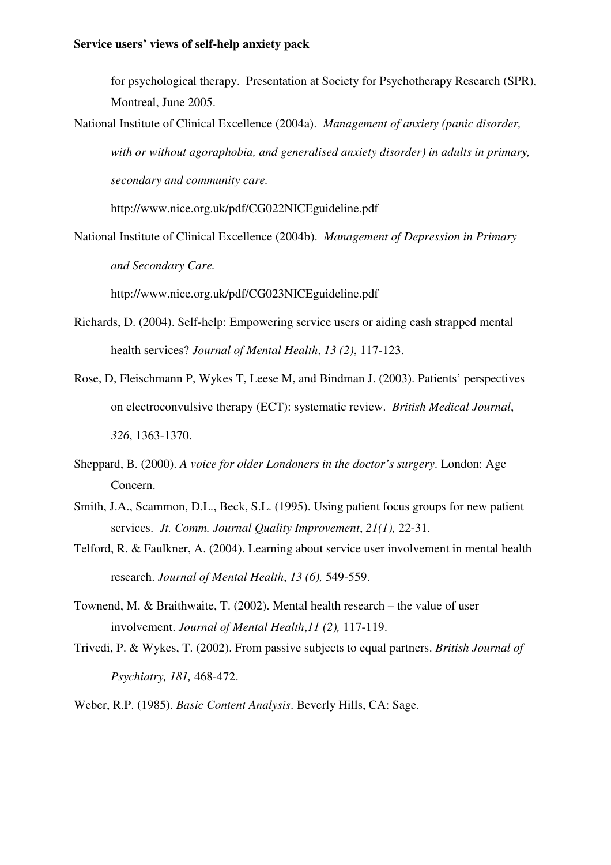for psychological therapy. Presentation at Society for Psychotherapy Research (SPR), Montreal, June 2005.

National Institute of Clinical Excellence (2004a). *Management of anxiety (panic disorder, with or without agoraphobia, and generalised anxiety disorder) in adults in primary, secondary and community care.*

http://www.nice.org.uk/pdf/CG022NICEguideline.pdf

National Institute of Clinical Excellence (2004b). *Management of Depression in Primary and Secondary Care.* 

http://www.nice.org.uk/pdf/CG023NICEguideline.pdf

- Richards, D. (2004). Self-help: Empowering service users or aiding cash strapped mental health services? *Journal of Mental Health*, *13 (2)*, 117-123.
- Rose, D, Fleischmann P, Wykes T, Leese M, and Bindman J. (2003). Patients' perspectives on electroconvulsive therapy (ECT): systematic review. *British Medical Journal*, *326*, 1363-1370.
- Sheppard, B. (2000). *A voice for older Londoners in the doctor's surgery*. London: Age Concern.
- Smith, J.A., Scammon, D.L., Beck, S.L. (1995). Using patient focus groups for new patient services. *Jt. Comm. Journal Quality Improvement*, *21(1),* 22-31.
- Telford, R. & Faulkner, A. (2004). Learning about service user involvement in mental health research. *Journal of Mental Health*, *13 (6),* 549-559.
- Townend, M. & Braithwaite, T. (2002). Mental health research the value of user involvement. *Journal of Mental Health*,*11 (2),* 117-119.
- Trivedi, P. & Wykes, T. (2002). From passive subjects to equal partners. *British Journal of Psychiatry, 181,* 468-472.

Weber, R.P. (1985). *Basic Content Analysis*. Beverly Hills, CA: Sage.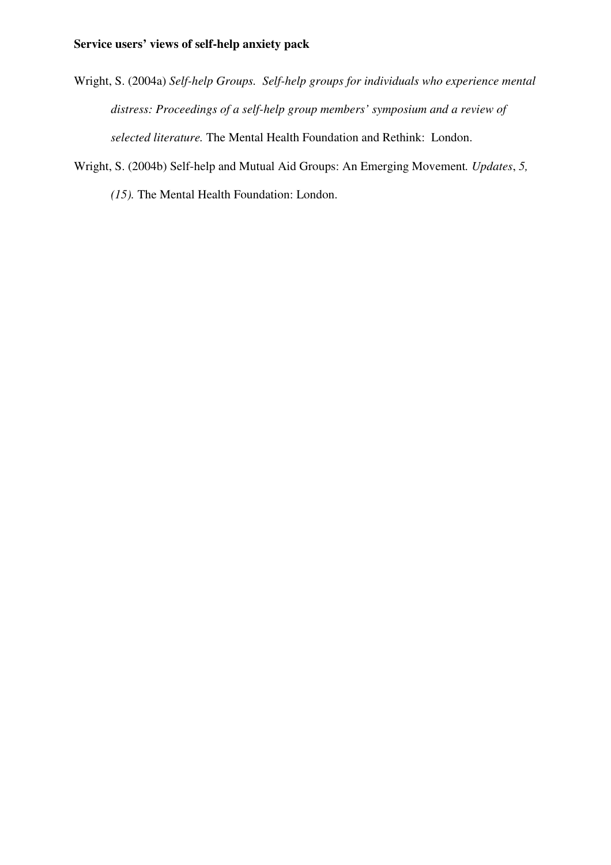Wright, S. (2004a) *Self-help Groups. Self-help groups for individuals who experience mental distress: Proceedings of a self-help group members' symposium and a review of selected literature.* The Mental Health Foundation and Rethink: London.

Wright, S. (2004b) Self-help and Mutual Aid Groups: An Emerging Movement*. Updates*, *5, (15).* The Mental Health Foundation: London.